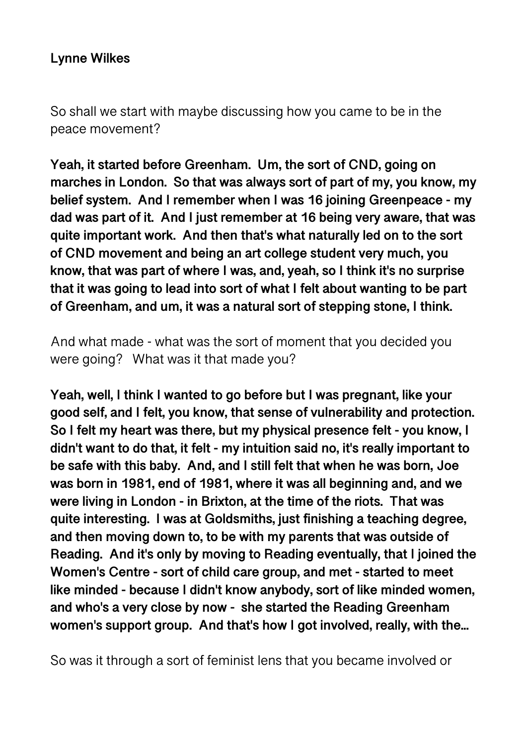### **Lynne Wilkes**

So shall we start with maybe discussing how you came to be in the peace movement?

**Yeah, it started before Greenham. Um, the sort of CND, going on marches in London. So that was always sort of part of my, you know, my belief system. And I remember when I was 16 joining Greenpeace - my dad was part of it. And I just remember at 16 being very aware, that was quite important work. And then that's what naturally led on to the sort of CND movement and being an art college student very much, you know, that was part of where I was, and, yeah, so I think it's no surprise that it was going to lead into sort of what I felt about wanting to be part of Greenham, and um, it was a natural sort of stepping stone, I think.** 

And what made - what was the sort of moment that you decided you were going? What was it that made you?

**Yeah, well, I think I wanted to go before but I was pregnant, like your good self, and I felt, you know, that sense of vulnerability and protection. So I felt my heart was there, but my physical presence felt - you know, I didn't want to do that, it felt - my intuition said no, it's really important to be safe with this baby. And, and I still felt that when he was born, Joe was born in 1981, end of 1981, where it was all beginning and, and we were living in London - in Brixton, at the time of the riots. That was quite interesting. I was at Goldsmiths, just finishing a teaching degree, and then moving down to, to be with my parents that was outside of Reading. And it's only by moving to Reading eventually, that I joined the Women's Centre - sort of child care group, and met - started to meet like minded - because I didn't know anybody, sort of like minded women, and who's a very close by now - she started the Reading Greenham women's support group. And that's how I got involved, really, with the...** 

So was it through a sort of feminist lens that you became involved or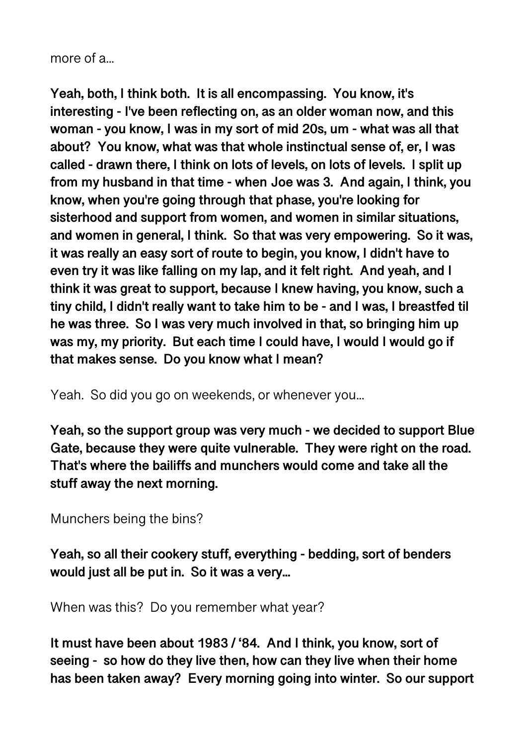#### more of a...

**Yeah, both, I think both. It is all encompassing. You know, it's interesting - I've been reflecting on, as an older woman now, and this woman - you know, I was in my sort of mid 20s, um - what was all that about? You know, what was that whole instinctual sense of, er, I was called - drawn there, I think on lots of levels, on lots of levels. I split up from my husband in that time - when Joe was 3. And again, I think, you know, when you're going through that phase, you're looking for sisterhood and support from women, and women in similar situations, and women in general, I think. So that was very empowering. So it was, it was really an easy sort of route to begin, you know, I didn't have to even try it was like falling on my lap, and it felt right. And yeah, and I think it was great to support, because I knew having, you know, such a tiny child, I didn't really want to take him to be - and I was, I breastfed til he was three. So I was very much involved in that, so bringing him up was my, my priority. But each time I could have, I would I would go if that makes sense. Do you know what I mean?** 

Yeah. So did you go on weekends, or whenever you...

**Yeah, so the support group was very much - we decided to support Blue Gate, because they were quite vulnerable. They were right on the road. That's where the bailiffs and munchers would come and take all the stuff away the next morning.** 

Munchers being the bins?

**Yeah, so all their cookery stuff, everything - bedding, sort of benders would just all be put in. So it was a very...** 

When was this? Do you remember what year?

**It must have been about 1983 / '84. And I think, you know, sort of seeing - so how do they live then, how can they live when their home has been taken away? Every morning going into winter. So our support**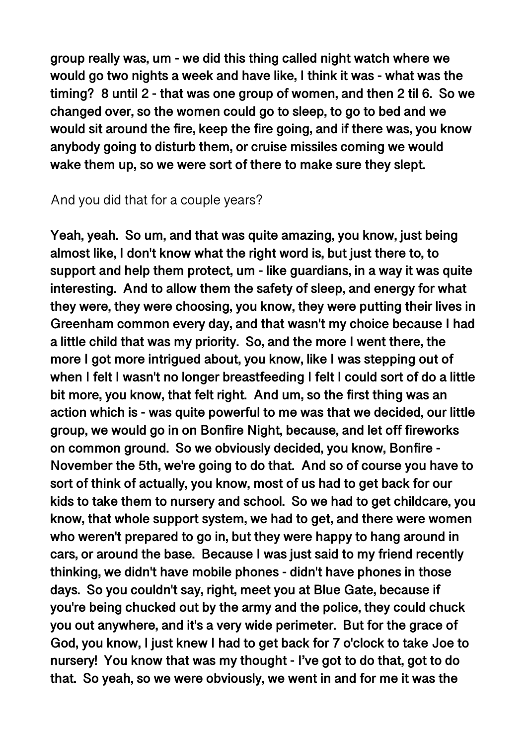**group really was, um - we did this thing called night watch where we would go two nights a week and have like, I think it was - what was the timing? 8 until 2 - that was one group of women, and then 2 til 6. So we changed over, so the women could go to sleep, to go to bed and we would sit around the fire, keep the fire going, and if there was, you know anybody going to disturb them, or cruise missiles coming we would wake them up, so we were sort of there to make sure they slept.** 

And you did that for a couple years?

**Yeah, yeah. So um, and that was quite amazing, you know, just being almost like, I don't know what the right word is, but just there to, to support and help them protect, um - like guardians, in a way it was quite interesting. And to allow them the safety of sleep, and energy for what they were, they were choosing, you know, they were putting their lives in Greenham common every day, and that wasn't my choice because I had a little child that was my priority. So, and the more I went there, the more I got more intrigued about, you know, like I was stepping out of when I felt I wasn't no longer breastfeeding I felt I could sort of do a little bit more, you know, that felt right. And um, so the first thing was an action which is - was quite powerful to me was that we decided, our little group, we would go in on Bonfire Night, because, and let off fireworks on common ground. So we obviously decided, you know, Bonfire - November the 5th, we're going to do that. And so of course you have to sort of think of actually, you know, most of us had to get back for our kids to take them to nursery and school. So we had to get childcare, you know, that whole support system, we had to get, and there were women who weren't prepared to go in, but they were happy to hang around in cars, or around the base. Because I was just said to my friend recently thinking, we didn't have mobile phones - didn't have phones in those days. So you couldn't say, right, meet you at Blue Gate, because if you're being chucked out by the army and the police, they could chuck you out anywhere, and it's a very wide perimeter. But for the grace of God, you know, I just knew I had to get back for 7 o'clock to take Joe to nursery! You know that was my thought - I've got to do that, got to do that. So yeah, so we were obviously, we went in and for me it was the**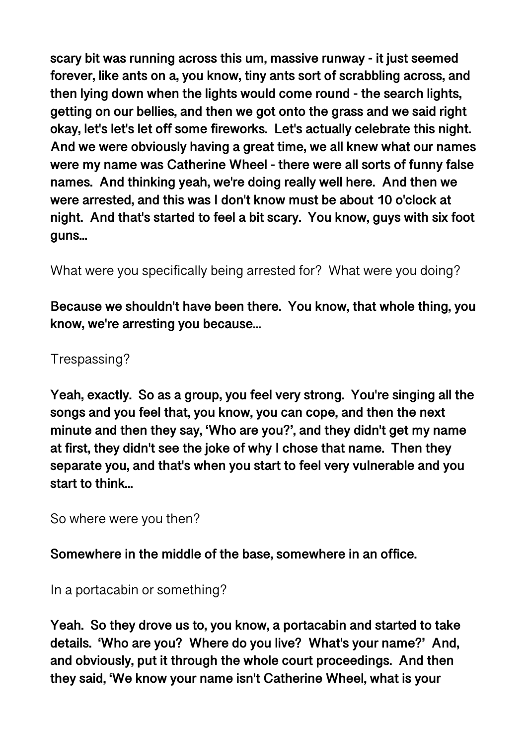**scary bit was running across this um, massive runway - it just seemed forever, like ants on a, you know, tiny ants sort of scrabbling across, and then lying down when the lights would come round - the search lights, getting on our bellies, and then we got onto the grass and we said right okay, let's let's let off some fireworks. Let's actually celebrate this night. And we were obviously having a great time, we all knew what our names were my name was Catherine Wheel - there were all sorts of funny false names. And thinking yeah, we're doing really well here. And then we were arrested, and this was I don't know must be about 10 o'clock at night. And that's started to feel a bit scary. You know, guys with six foot guns...** 

What were you specifically being arrested for? What were you doing?

**Because we shouldn't have been there. You know, that whole thing, you know, we're arresting you because...** 

Trespassing?

**Yeah, exactly. So as a group, you feel very strong. You're singing all the songs and you feel that, you know, you can cope, and then the next minute and then they say, 'Who are you?', and they didn't get my name at first, they didn't see the joke of why I chose that name. Then they separate you, and that's when you start to feel very vulnerable and you start to think...** 

So where were you then?

**Somewhere in the middle of the base, somewhere in an office.** 

In a portacabin or something?

**Yeah. So they drove us to, you know, a portacabin and started to take details. 'Who are you? Where do you live? What's your name?' And, and obviously, put it through the whole court proceedings. And then they said, 'We know your name isn't Catherine Wheel, what is your**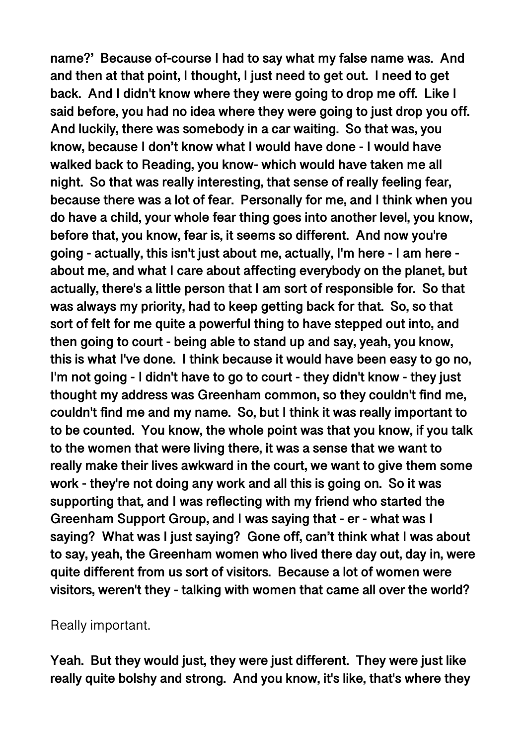**name?' Because of-course I had to say what my false name was. And and then at that point, I thought, I just need to get out. I need to get back. And I didn't know where they were going to drop me off. Like I said before, you had no idea where they were going to just drop you off. And luckily, there was somebody in a car waiting. So that was, you know, because I don't know what I would have done - I would have walked back to Reading, you know- which would have taken me all night. So that was really interesting, that sense of really feeling fear, because there was a lot of fear. Personally for me, and I think when you do have a child, your whole fear thing goes into another level, you know, before that, you know, fear is, it seems so different. And now you're going - actually, this isn't just about me, actually, I'm here - I am here about me, and what I care about affecting everybody on the planet, but actually, there's a little person that I am sort of responsible for. So that was always my priority, had to keep getting back for that. So, so that sort of felt for me quite a powerful thing to have stepped out into, and then going to court - being able to stand up and say, yeah, you know, this is what I've done. I think because it would have been easy to go no, I'm not going - I didn't have to go to court - they didn't know - they just thought my address was Greenham common, so they couldn't find me, couldn't find me and my name. So, but I think it was really important to to be counted. You know, the whole point was that you know, if you talk to the women that were living there, it was a sense that we want to really make their lives awkward in the court, we want to give them some work - they're not doing any work and all this is going on. So it was supporting that, and I was reflecting with my friend who started the Greenham Support Group, and I was saying that - er - what was I saying? What was I just saying? Gone off, can't think what I was about to say, yeah, the Greenham women who lived there day out, day in, were quite different from us sort of visitors. Because a lot of women were visitors, weren't they - talking with women that came all over the world?** 

#### Really important.

**Yeah. But they would just, they were just different. They were just like really quite bolshy and strong. And you know, it's like, that's where they**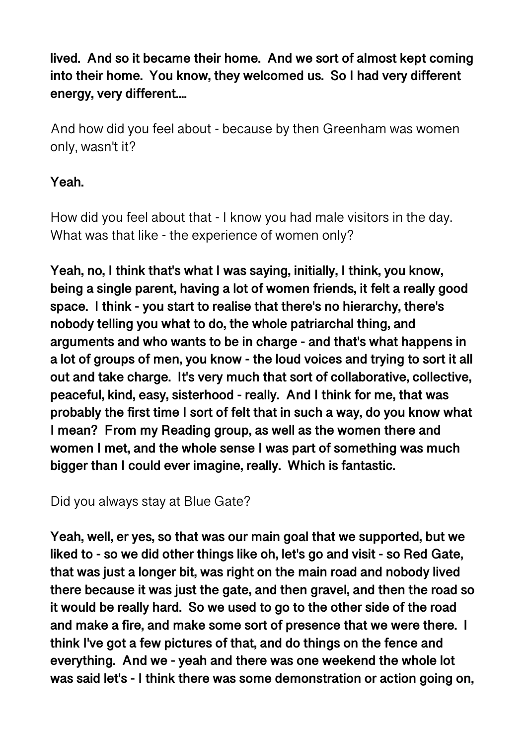**lived. And so it became their home. And we sort of almost kept coming into their home. You know, they welcomed us. So I had very different energy, very different....** 

And how did you feel about - because by then Greenham was women only, wasn't it?

### **Yeah.**

How did you feel about that - I know you had male visitors in the day. What was that like - the experience of women only?

**Yeah, no, I think that's what I was saying, initially, I think, you know, being a single parent, having a lot of women friends, it felt a really good space. I think - you start to realise that there's no hierarchy, there's nobody telling you what to do, the whole patriarchal thing, and arguments and who wants to be in charge - and that's what happens in a lot of groups of men, you know - the loud voices and trying to sort it all out and take charge. It's very much that sort of collaborative, collective, peaceful, kind, easy, sisterhood - really. And I think for me, that was probably the first time I sort of felt that in such a way, do you know what I mean? From my Reading group, as well as the women there and women I met, and the whole sense I was part of something was much bigger than I could ever imagine, really. Which is fantastic.** 

Did you always stay at Blue Gate?

**Yeah, well, er yes, so that was our main goal that we supported, but we liked to - so we did other things like oh, let's go and visit - so Red Gate, that was just a longer bit, was right on the main road and nobody lived there because it was just the gate, and then gravel, and then the road so it would be really hard. So we used to go to the other side of the road and make a fire, and make some sort of presence that we were there. I think I've got a few pictures of that, and do things on the fence and everything. And we - yeah and there was one weekend the whole lot was said let's - I think there was some demonstration or action going on,**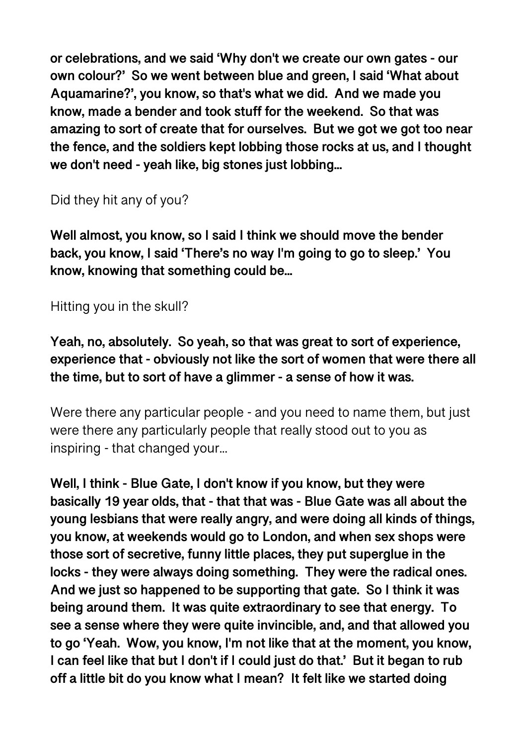**or celebrations, and we said 'Why don't we create our own gates - our own colour?' So we went between blue and green, I said 'What about Aquamarine?', you know, so that's what we did. And we made you know, made a bender and took stuff for the weekend. So that was amazing to sort of create that for ourselves. But we got we got too near the fence, and the soldiers kept lobbing those rocks at us, and I thought we don't need - yeah like, big stones just lobbing...** 

Did they hit any of you?

**Well almost, you know, so I said I think we should move the bender back, you know, I said 'There's no way I'm going to go to sleep.' You know, knowing that something could be...** 

Hitting you in the skull?

**Yeah, no, absolutely. So yeah, so that was great to sort of experience, experience that - obviously not like the sort of women that were there all the time, but to sort of have a glimmer - a sense of how it was.** 

Were there any particular people - and you need to name them, but just were there any particularly people that really stood out to you as inspiring - that changed your...

**Well, I think - Blue Gate, I don't know if you know, but they were basically 19 year olds, that - that that was - Blue Gate was all about the young lesbians that were really angry, and were doing all kinds of things, you know, at weekends would go to London, and when sex shops were those sort of secretive, funny little places, they put superglue in the locks - they were always doing something. They were the radical ones. And we just so happened to be supporting that gate. So I think it was being around them. It was quite extraordinary to see that energy. To see a sense where they were quite invincible, and, and that allowed you to go 'Yeah. Wow, you know, I'm not like that at the moment, you know, I can feel like that but I don't if I could just do that.' But it began to rub off a little bit do you know what I mean? It felt like we started doing**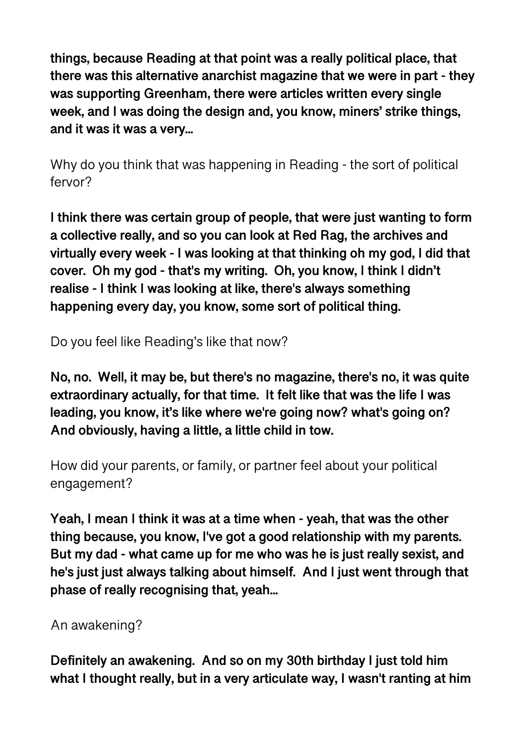**things, because Reading at that point was a really political place, that there was this alternative anarchist magazine that we were in part - they was supporting Greenham, there were articles written every single week, and I was doing the design and, you know, miners' strike things, and it was it was a very...** 

Why do you think that was happening in Reading - the sort of political fervor?

**I think there was certain group of people, that were just wanting to form a collective really, and so you can look at Red Rag, the archives and virtually every week - I was looking at that thinking oh my god, I did that cover. Oh my god - that's my writing. Oh, you know, I think I didn't realise - I think I was looking at like, there's always something happening every day, you know, some sort of political thing.** 

Do you feel like Reading's like that now?

**No, no. Well, it may be, but there's no magazine, there's no, it was quite extraordinary actually, for that time. It felt like that was the life I was leading, you know, it's like where we're going now? what's going on? And obviously, having a little, a little child in tow.** 

How did your parents, or family, or partner feel about your political engagement?

**Yeah, I mean I think it was at a time when - yeah, that was the other thing because, you know, I've got a good relationship with my parents. But my dad - what came up for me who was he is just really sexist, and he's just just always talking about himself. And I just went through that phase of really recognising that, yeah...** 

An awakening?

**Definitely an awakening. And so on my 30th birthday I just told him what I thought really, but in a very articulate way, I wasn't ranting at him**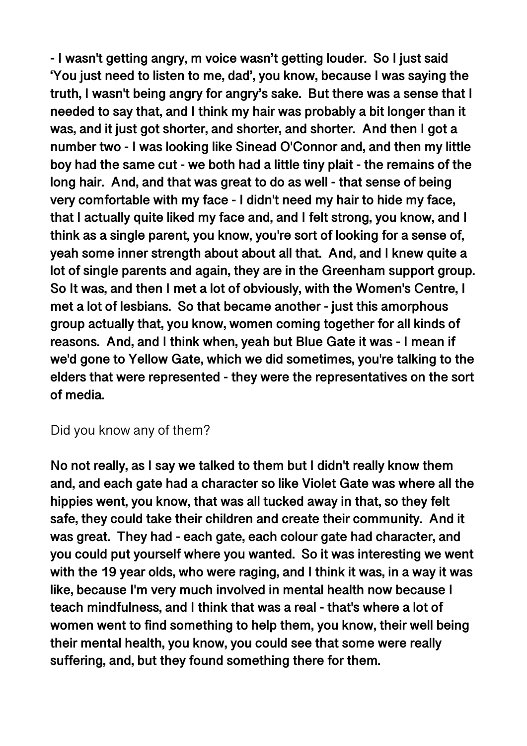**- I wasn't getting angry, m voice wasn't getting louder. So I just said 'You just need to listen to me, dad', you know, because I was saying the truth, I wasn't being angry for angry's sake. But there was a sense that I needed to say that, and I think my hair was probably a bit longer than it was, and it just got shorter, and shorter, and shorter. And then I got a number two - I was looking like Sinead O'Connor and, and then my little boy had the same cut - we both had a little tiny plait - the remains of the long hair. And, and that was great to do as well - that sense of being very comfortable with my face - I didn't need my hair to hide my face, that I actually quite liked my face and, and I felt strong, you know, and I think as a single parent, you know, you're sort of looking for a sense of, yeah some inner strength about about all that. And, and I knew quite a lot of single parents and again, they are in the Greenham support group. So It was, and then I met a lot of obviously, with the Women's Centre, I met a lot of lesbians. So that became another - just this amorphous group actually that, you know, women coming together for all kinds of reasons. And, and I think when, yeah but Blue Gate it was - I mean if we'd gone to Yellow Gate, which we did sometimes, you're talking to the elders that were represented - they were the representatives on the sort of media.** 

#### Did you know any of them?

**No not really, as I say we talked to them but I didn't really know them and, and each gate had a character so like Violet Gate was where all the hippies went, you know, that was all tucked away in that, so they felt safe, they could take their children and create their community. And it was great. They had - each gate, each colour gate had character, and you could put yourself where you wanted. So it was interesting we went with the 19 year olds, who were raging, and I think it was, in a way it was like, because I'm very much involved in mental health now because I teach mindfulness, and I think that was a real - that's where a lot of women went to find something to help them, you know, their well being their mental health, you know, you could see that some were really suffering, and, but they found something there for them.**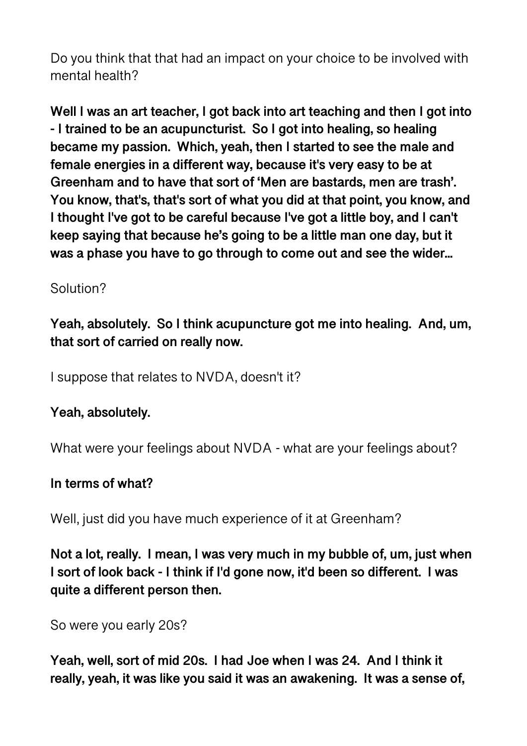Do you think that that had an impact on your choice to be involved with mental health?

**Well I was an art teacher, I got back into art teaching and then I got into - I trained to be an acupuncturist. So I got into healing, so healing became my passion. Which, yeah, then I started to see the male and female energies in a different way, because it's very easy to be at Greenham and to have that sort of 'Men are bastards, men are trash'. You know, that's, that's sort of what you did at that point, you know, and I thought I've got to be careful because I've got a little boy, and I can't keep saying that because he's going to be a little man one day, but it was a phase you have to go through to come out and see the wider...** 

# Solution?

**Yeah, absolutely. So I think acupuncture got me into healing. And, um, that sort of carried on really now.** 

I suppose that relates to NVDA, doesn't it?

## **Yeah, absolutely.**

What were your feelings about NVDA - what are your feelings about?

## **In terms of what?**

Well, just did you have much experience of it at Greenham?

**Not a lot, really. I mean, I was very much in my bubble of, um, just when I sort of look back - I think if I'd gone now, it'd been so different. I was quite a different person then.** 

So were you early 20s?

**Yeah, well, sort of mid 20s. I had Joe when I was 24. And I think it really, yeah, it was like you said it was an awakening. It was a sense of,**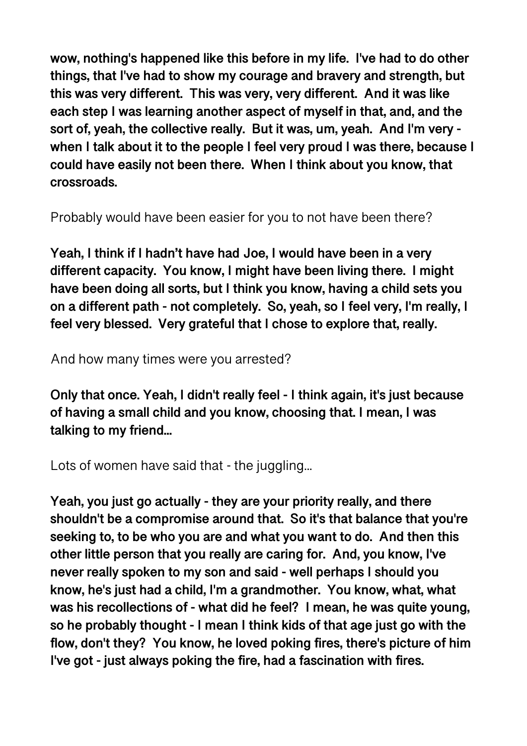**wow, nothing's happened like this before in my life. I've had to do other things, that I've had to show my courage and bravery and strength, but this was very different. This was very, very different. And it was like each step I was learning another aspect of myself in that, and, and the sort of, yeah, the collective really. But it was, um, yeah. And I'm very when I talk about it to the people I feel very proud I was there, because I could have easily not been there. When I think about you know, that crossroads.** 

Probably would have been easier for you to not have been there?

**Yeah, I think if I hadn't have had Joe, I would have been in a very different capacity. You know, I might have been living there. I might have been doing all sorts, but I think you know, having a child sets you on a different path - not completely. So, yeah, so I feel very, I'm really, I feel very blessed. Very grateful that I chose to explore that, really.** 

And how many times were you arrested?

**Only that once. Yeah, I didn't really feel - I think again, it's just because of having a small child and you know, choosing that. I mean, I was talking to my friend...** 

Lots of women have said that - the juggling...

**Yeah, you just go actually - they are your priority really, and there shouldn't be a compromise around that. So it's that balance that you're seeking to, to be who you are and what you want to do. And then this other little person that you really are caring for. And, you know, I've never really spoken to my son and said - well perhaps I should you know, he's just had a child, I'm a grandmother. You know, what, what was his recollections of - what did he feel? I mean, he was quite young, so he probably thought - I mean I think kids of that age just go with the flow, don't they? You know, he loved poking fires, there's picture of him I've got - just always poking the fire, had a fascination with fires.**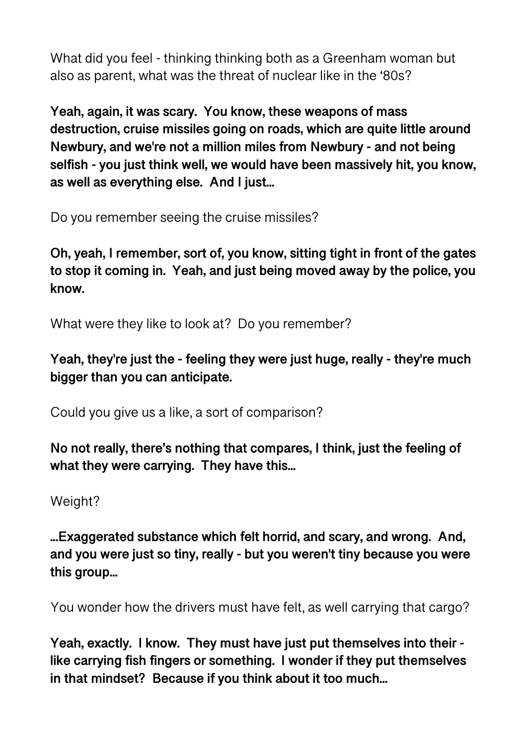What did you feel - thinking thinking both as a Greenham woman but also as parent, what was the threat of nuclear like in the '80s?

**Yeah, again, it was scary. You know, these weapons of mass destruction, cruise missiles going on roads, which are quite little around Newbury, and we're not a million miles from Newbury - and not being selfish - you just think well, we would have been massively hit, you know, as well as everything else. And I just...** 

Do you remember seeing the cruise missiles?

**Oh, yeah, I remember, sort of, you know, sitting tight in front of the gates to stop it coming in. Yeah, and just being moved away by the police, you know.** 

What were they like to look at? Do you remember?

**Yeah, they're just the - feeling they were just huge, really - they're much bigger than you can anticipate.** 

Could you give us a like, a sort of comparison?

**No not really, there's nothing that compares, I think, just the feeling of what they were carrying. They have this...** 

Weight?

**...Exaggerated substance which felt horrid, and scary, and wrong. And, and you were just so tiny, really - but you weren't tiny because you were this group...** 

You wonder how the drivers must have felt, as well carrying that cargo?

**Yeah, exactly. I know. They must have just put themselves into their like carrying fish fingers or something. I wonder if they put themselves in that mindset? Because if you think about it too much...**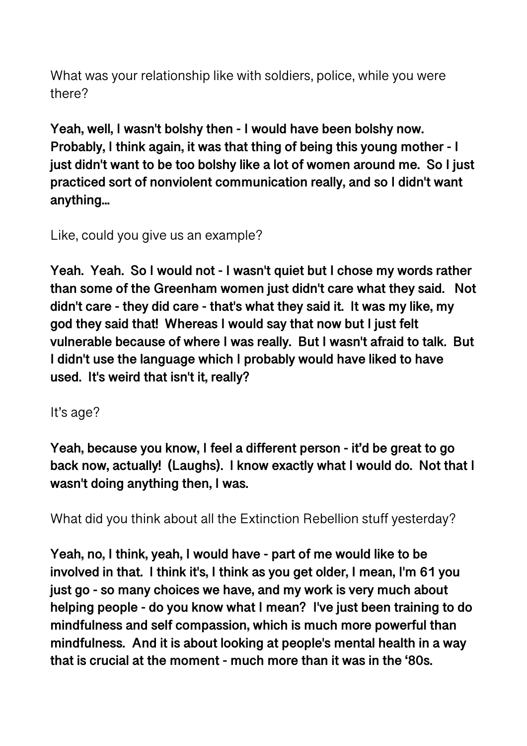What was your relationship like with soldiers, police, while you were there?

**Yeah, well, I wasn't bolshy then - I would have been bolshy now. Probably, I think again, it was that thing of being this young mother - I just didn't want to be too bolshy like a lot of women around me. So I just practiced sort of nonviolent communication really, and so I didn't want anything...** 

Like, could you give us an example?

**Yeah. Yeah. So I would not - I wasn't quiet but I chose my words rather than some of the Greenham women just didn't care what they said. Not didn't care - they did care - that's what they said it. It was my like, my god they said that! Whereas I would say that now but I just felt vulnerable because of where I was really. But I wasn't afraid to talk. But I didn't use the language which I probably would have liked to have used. It's weird that isn't it, really?** 

It's age?

**Yeah, because you know, I feel a different person - it'd be great to go back now, actually! (Laughs). I know exactly what I would do. Not that I wasn't doing anything then, I was.** 

What did you think about all the Extinction Rebellion stuff yesterday?

**Yeah, no, I think, yeah, I would have - part of me would like to be involved in that. I think it's, I think as you get older, I mean, I'm 61 you just go - so many choices we have, and my work is very much about helping people - do you know what I mean? I've just been training to do mindfulness and self compassion, which is much more powerful than mindfulness. And it is about looking at people's mental health in a way that is crucial at the moment - much more than it was in the '80s.**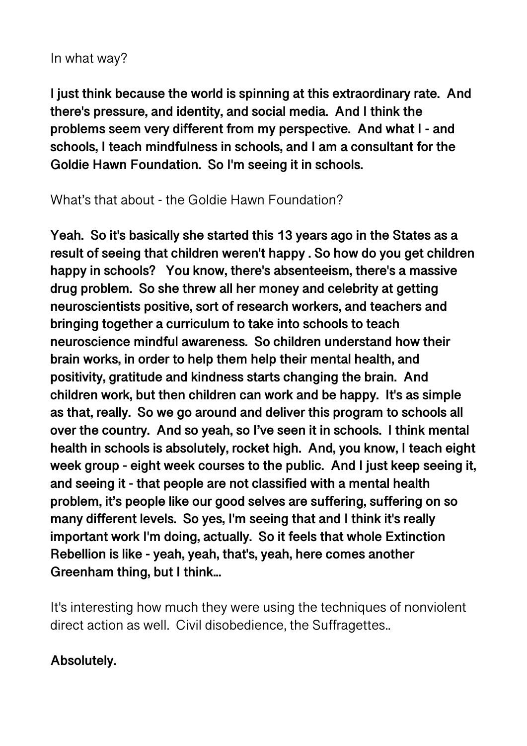### In what way?

**I just think because the world is spinning at this extraordinary rate. And there's pressure, and identity, and social media. And I think the problems seem very different from my perspective. And what I - and schools, I teach mindfulness in schools, and I am a consultant for the Goldie Hawn Foundation. So I'm seeing it in schools.** 

What's that about - the Goldie Hawn Foundation?

**Yeah. So it's basically she started this 13 years ago in the States as a result of seeing that children weren't happy . So how do you get children happy in schools? You know, there's absenteeism, there's a massive drug problem. So she threw all her money and celebrity at getting neuroscientists positive, sort of research workers, and teachers and bringing together a curriculum to take into schools to teach neuroscience mindful awareness. So children understand how their brain works, in order to help them help their mental health, and positivity, gratitude and kindness starts changing the brain. And children work, but then children can work and be happy. It's as simple as that, really. So we go around and deliver this program to schools all over the country. And so yeah, so I've seen it in schools. I think mental health in schools is absolutely, rocket high. And, you know, I teach eight week group - eight week courses to the public. And I just keep seeing it, and seeing it - that people are not classified with a mental health problem, it's people like our good selves are suffering, suffering on so many different levels. So yes, I'm seeing that and I think it's really important work I'm doing, actually. So it feels that whole Extinction Rebellion is like - yeah, yeah, that's, yeah, here comes another Greenham thing, but I think...** 

It's interesting how much they were using the techniques of nonviolent direct action as well. Civil disobedience, the Suffragettes..

### **Absolutely.**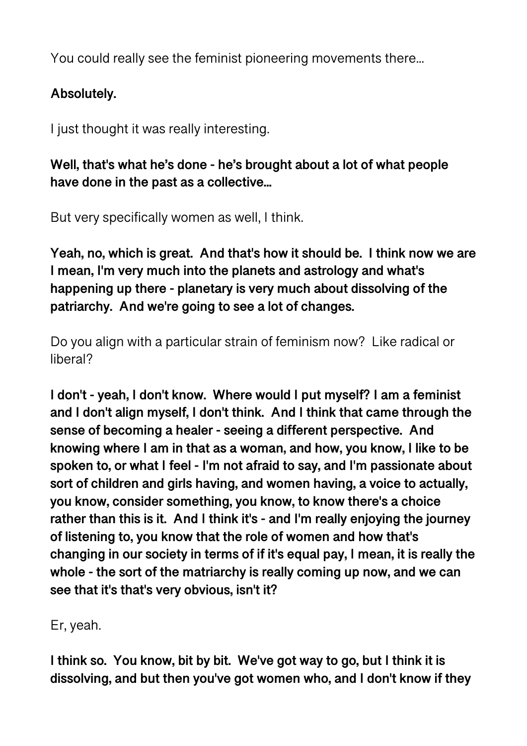You could really see the feminist pioneering movements there...

# **Absolutely.**

I just thought it was really interesting.

## **Well, that's what he's done - he's brought about a lot of what people have done in the past as a collective...**

But very specifically women as well, I think.

**Yeah, no, which is great. And that's how it should be. I think now we are I mean, I'm very much into the planets and astrology and what's happening up there - planetary is very much about dissolving of the patriarchy. And we're going to see a lot of changes.** 

Do you align with a particular strain of feminism now? Like radical or liberal?

**I don't - yeah, I don't know. Where would I put myself? I am a feminist and I don't align myself, I don't think. And I think that came through the sense of becoming a healer - seeing a different perspective. And knowing where I am in that as a woman, and how, you know, I like to be spoken to, or what I feel - I'm not afraid to say, and I'm passionate about sort of children and girls having, and women having, a voice to actually, you know, consider something, you know, to know there's a choice rather than this is it. And I think it's - and I'm really enjoying the journey of listening to, you know that the role of women and how that's changing in our society in terms of if it's equal pay, I mean, it is really the whole - the sort of the matriarchy is really coming up now, and we can see that it's that's very obvious, isn't it?** 

Er, yeah.

**I think so. You know, bit by bit. We've got way to go, but I think it is dissolving, and but then you've got women who, and I don't know if they**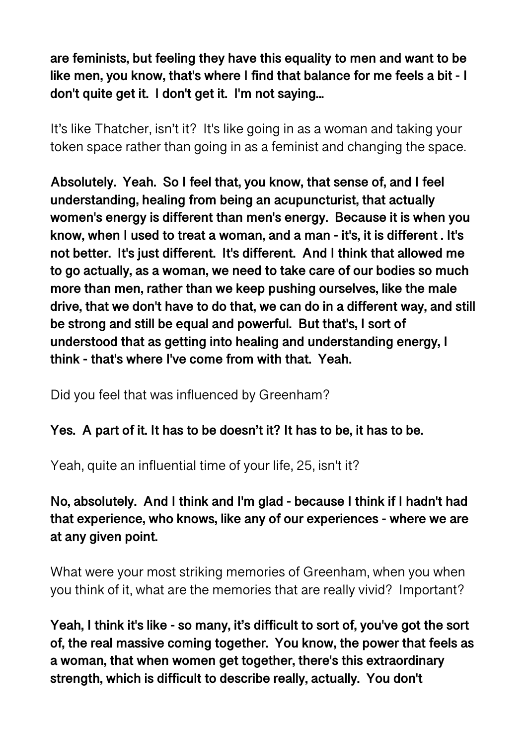**are feminists, but feeling they have this equality to men and want to be like men, you know, that's where I find that balance for me feels a bit - I don't quite get it. I don't get it. I'm not saying...** 

It's like Thatcher, isn't it? It's like going in as a woman and taking your token space rather than going in as a feminist and changing the space.

**Absolutely. Yeah. So I feel that, you know, that sense of, and I feel understanding, healing from being an acupuncturist, that actually women's energy is different than men's energy. Because it is when you know, when I used to treat a woman, and a man - it's, it is different . It's not better. It's just different. It's different. And I think that allowed me to go actually, as a woman, we need to take care of our bodies so much more than men, rather than we keep pushing ourselves, like the male drive, that we don't have to do that, we can do in a different way, and still be strong and still be equal and powerful. But that's, I sort of understood that as getting into healing and understanding energy, I think - that's where I've come from with that. Yeah.** 

Did you feel that was influenced by Greenham?

# **Yes. A part of it. It has to be doesn't it? It has to be, it has to be.**

Yeah, quite an influential time of your life, 25, isn't it?

# **No, absolutely. And I think and I'm glad - because I think if I hadn't had that experience, who knows, like any of our experiences - where we are at any given point.**

What were your most striking memories of Greenham, when you when you think of it, what are the memories that are really vivid? Important?

**Yeah, I think it's like - so many, it's difficult to sort of, you've got the sort of, the real massive coming together. You know, the power that feels as a woman, that when women get together, there's this extraordinary strength, which is difficult to describe really, actually. You don't**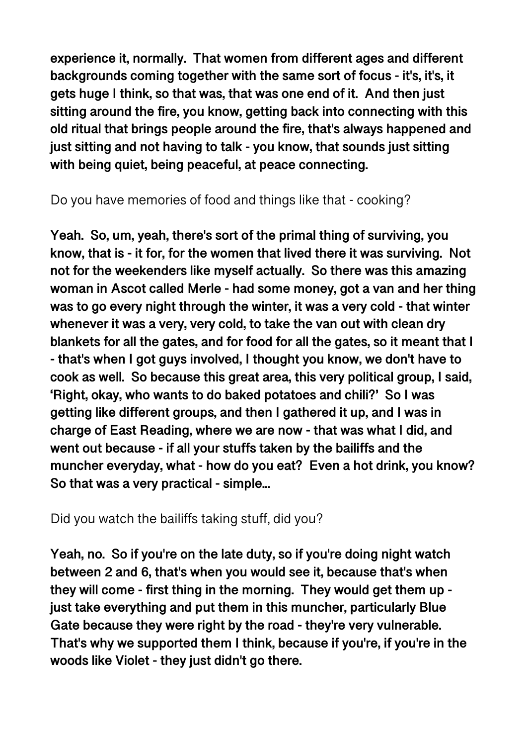**experience it, normally. That women from different ages and different backgrounds coming together with the same sort of focus - it's, it's, it gets huge I think, so that was, that was one end of it. And then just sitting around the fire, you know, getting back into connecting with this old ritual that brings people around the fire, that's always happened and just sitting and not having to talk - you know, that sounds just sitting with being quiet, being peaceful, at peace connecting.** 

Do you have memories of food and things like that - cooking?

**Yeah. So, um, yeah, there's sort of the primal thing of surviving, you know, that is - it for, for the women that lived there it was surviving. Not not for the weekenders like myself actually. So there was this amazing woman in Ascot called Merle - had some money, got a van and her thing was to go every night through the winter, it was a very cold - that winter whenever it was a very, very cold, to take the van out with clean dry blankets for all the gates, and for food for all the gates, so it meant that I - that's when I got guys involved, I thought you know, we don't have to cook as well. So because this great area, this very political group, I said, 'Right, okay, who wants to do baked potatoes and chili?' So I was getting like different groups, and then I gathered it up, and I was in charge of East Reading, where we are now - that was what I did, and went out because - if all your stuffs taken by the bailiffs and the muncher everyday, what - how do you eat? Even a hot drink, you know? So that was a very practical - simple...** 

Did you watch the bailiffs taking stuff, did you?

**Yeah, no. So if you're on the late duty, so if you're doing night watch between 2 and 6, that's when you would see it, because that's when they will come - first thing in the morning. They would get them up just take everything and put them in this muncher, particularly Blue Gate because they were right by the road - they're very vulnerable. That's why we supported them I think, because if you're, if you're in the woods like Violet - they just didn't go there.**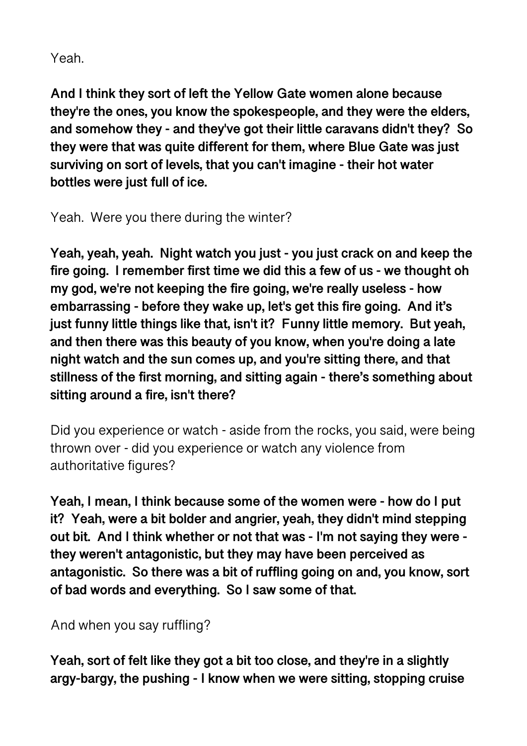Yeah.

**And I think they sort of left the Yellow Gate women alone because they're the ones, you know the spokespeople, and they were the elders, and somehow they - and they've got their little caravans didn't they? So they were that was quite different for them, where Blue Gate was just surviving on sort of levels, that you can't imagine - their hot water bottles were just full of ice.** 

Yeah. Were you there during the winter?

**Yeah, yeah, yeah. Night watch you just - you just crack on and keep the fire going. I remember first time we did this a few of us - we thought oh my god, we're not keeping the fire going, we're really useless - how embarrassing - before they wake up, let's get this fire going. And it's just funny little things like that, isn't it? Funny little memory. But yeah, and then there was this beauty of you know, when you're doing a late night watch and the sun comes up, and you're sitting there, and that stillness of the first morning, and sitting again - there's something about sitting around a fire, isn't there?** 

Did you experience or watch - aside from the rocks, you said, were being thrown over - did you experience or watch any violence from authoritative figures?

**Yeah, I mean, I think because some of the women were - how do I put it? Yeah, were a bit bolder and angrier, yeah, they didn't mind stepping out bit. And I think whether or not that was - I'm not saying they were they weren't antagonistic, but they may have been perceived as antagonistic. So there was a bit of ruffling going on and, you know, sort of bad words and everything. So I saw some of that.** 

And when you say ruffling?

**Yeah, sort of felt like they got a bit too close, and they're in a slightly argy-bargy, the pushing - I know when we were sitting, stopping cruise**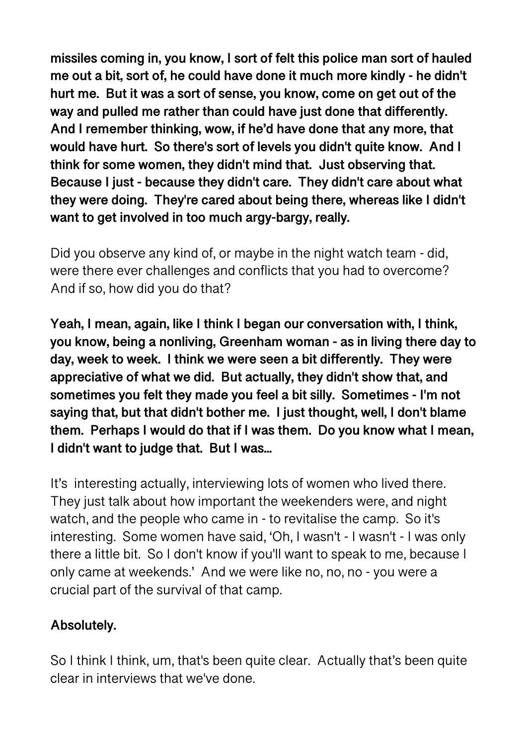**missiles coming in, you know, I sort of felt this police man sort of hauled me out a bit, sort of, he could have done it much more kindly - he didn't hurt me. But it was a sort of sense, you know, come on get out of the way and pulled me rather than could have just done that differently. And I remember thinking, wow, if he'd have done that any more, that would have hurt. So there's sort of levels you didn't quite know. And I think for some women, they didn't mind that. Just observing that. Because I just - because they didn't care. They didn't care about what they were doing. They're cared about being there, whereas like I didn't want to get involved in too much argy-bargy, really.** 

Did you observe any kind of, or maybe in the night watch team - did, were there ever challenges and conflicts that you had to overcome? And if so, how did you do that?

**Yeah, I mean, again, like I think I began our conversation with, I think, you know, being a nonliving, Greenham woman - as in living there day to day, week to week. I think we were seen a bit differently. They were appreciative of what we did. But actually, they didn't show that, and sometimes you felt they made you feel a bit silly. Sometimes - I'm not saying that, but that didn't bother me. I just thought, well, I don't blame them. Perhaps I would do that if I was them. Do you know what I mean, I didn't want to judge that. But I was...** 

It's interesting actually, interviewing lots of women who lived there. They just talk about how important the weekenders were, and night watch, and the people who came in - to revitalise the camp. So it's interesting. Some women have said, 'Oh, I wasn't - I wasn't - I was only there a little bit. So I don't know if you'll want to speak to me, because I only came at weekends.' And we were like no, no, no - you were a crucial part of the survival of that camp.

# **Absolutely.**

So I think I think, um, that's been quite clear. Actually that's been quite clear in interviews that we've done.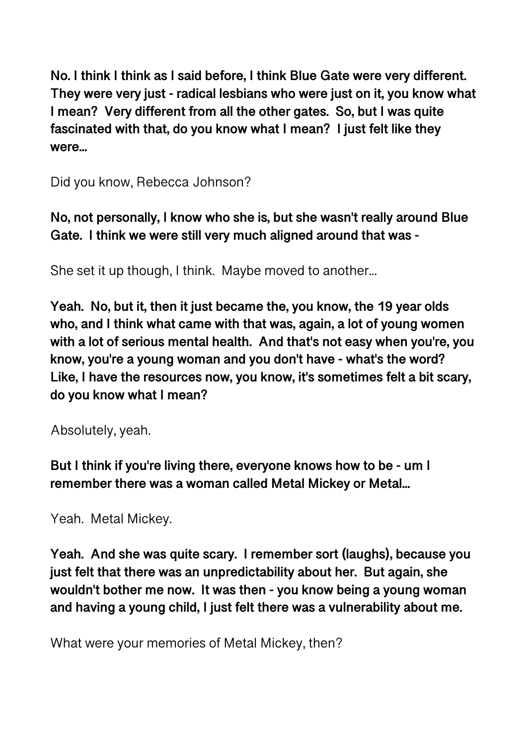**No. I think I think as I said before, I think Blue Gate were very different. They were very just - radical lesbians who were just on it, you know what I mean? Very different from all the other gates. So, but I was quite fascinated with that, do you know what I mean? I just felt like they were...** 

Did you know, Rebecca Johnson?

**No, not personally, I know who she is, but she wasn't really around Blue Gate. I think we were still very much aligned around that was -** 

She set it up though, I think. Maybe moved to another...

**Yeah. No, but it, then it just became the, you know, the 19 year olds who, and I think what came with that was, again, a lot of young women with a lot of serious mental health. And that's not easy when you're, you know, you're a young woman and you don't have - what's the word? Like, I have the resources now, you know, it's sometimes felt a bit scary, do you know what I mean?** 

Absolutely, yeah.

**But I think if you're living there, everyone knows how to be - um I remember there was a woman called Metal Mickey or Metal...** 

Yeah. Metal Mickey.

**Yeah. And she was quite scary. I remember sort (laughs), because you just felt that there was an unpredictability about her. But again, she wouldn't bother me now. It was then - you know being a young woman and having a young child, I just felt there was a vulnerability about me.** 

What were your memories of Metal Mickey, then?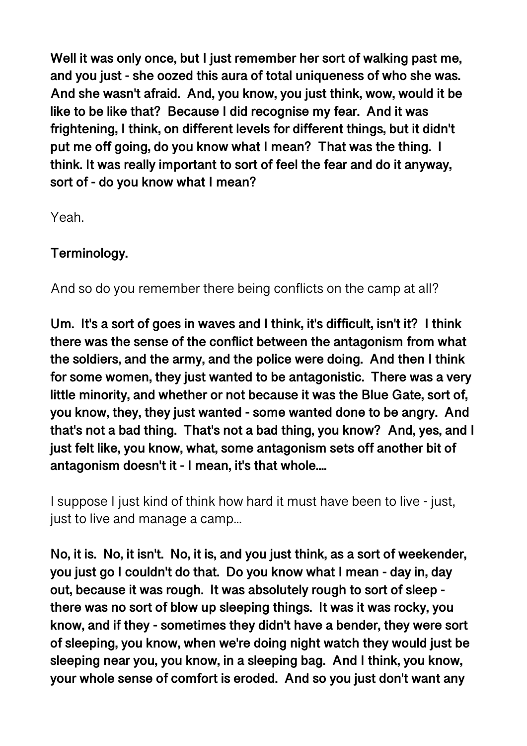**Well it was only once, but I just remember her sort of walking past me, and you just - she oozed this aura of total uniqueness of who she was. And she wasn't afraid. And, you know, you just think, wow, would it be like to be like that? Because I did recognise my fear. And it was frightening, I think, on different levels for different things, but it didn't put me off going, do you know what I mean? That was the thing. I think. It was really important to sort of feel the fear and do it anyway, sort of - do you know what I mean?** 

Yeah.

# **Terminology.**

And so do you remember there being conflicts on the camp at all?

**Um. It's a sort of goes in waves and I think, it's difficult, isn't it? I think there was the sense of the conflict between the antagonism from what the soldiers, and the army, and the police were doing. And then I think for some women, they just wanted to be antagonistic. There was a very little minority, and whether or not because it was the Blue Gate, sort of, you know, they, they just wanted - some wanted done to be angry. And that's not a bad thing. That's not a bad thing, you know? And, yes, and I just felt like, you know, what, some antagonism sets off another bit of antagonism doesn't it - I mean, it's that whole....** 

I suppose I just kind of think how hard it must have been to live - just, just to live and manage a camp...

**No, it is. No, it isn't. No, it is, and you just think, as a sort of weekender, you just go I couldn't do that. Do you know what I mean - day in, day out, because it was rough. It was absolutely rough to sort of sleep there was no sort of blow up sleeping things. It was it was rocky, you know, and if they - sometimes they didn't have a bender, they were sort of sleeping, you know, when we're doing night watch they would just be sleeping near you, you know, in a sleeping bag. And I think, you know, your whole sense of comfort is eroded. And so you just don't want any**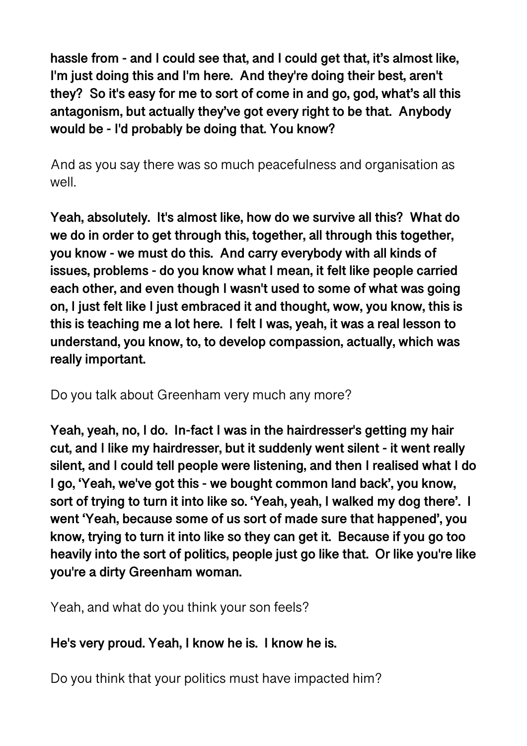**hassle from - and I could see that, and I could get that, it's almost like, I'm just doing this and I'm here. And they're doing their best, aren't they? So it's easy for me to sort of come in and go, god, what's all this antagonism, but actually they've got every right to be that. Anybody would be - I'd probably be doing that. You know?** 

And as you say there was so much peacefulness and organisation as well.

**Yeah, absolutely. It's almost like, how do we survive all this? What do we do in order to get through this, together, all through this together, you know - we must do this. And carry everybody with all kinds of issues, problems - do you know what I mean, it felt like people carried each other, and even though I wasn't used to some of what was going on, I just felt like I just embraced it and thought, wow, you know, this is this is teaching me a lot here. I felt I was, yeah, it was a real lesson to understand, you know, to, to develop compassion, actually, which was really important.** 

Do you talk about Greenham very much any more?

**Yeah, yeah, no, I do. In-fact I was in the hairdresser's getting my hair cut, and I like my hairdresser, but it suddenly went silent - it went really silent, and I could tell people were listening, and then I realised what I do I go, 'Yeah, we've got this - we bought common land back', you know, sort of trying to turn it into like so. 'Yeah, yeah, I walked my dog there'. I went 'Yeah, because some of us sort of made sure that happened', you know, trying to turn it into like so they can get it. Because if you go too heavily into the sort of politics, people just go like that. Or like you're like you're a dirty Greenham woman.** 

Yeah, and what do you think your son feels?

# **He's very proud. Yeah, I know he is. I know he is.**

Do you think that your politics must have impacted him?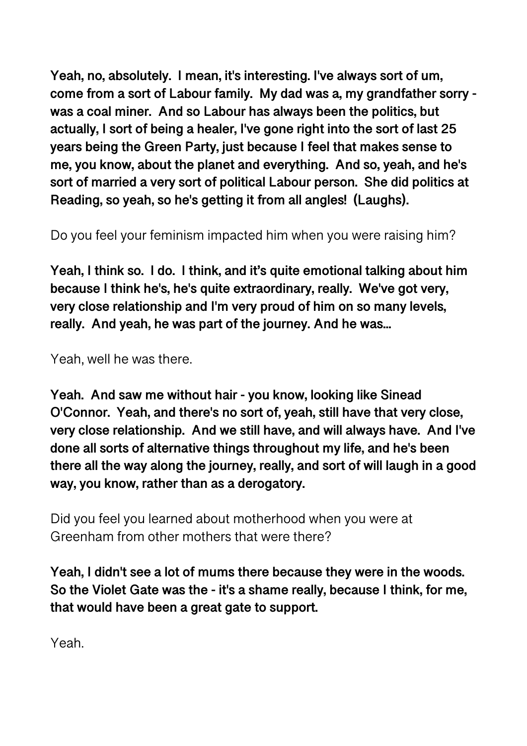**Yeah, no, absolutely. I mean, it's interesting. I've always sort of um, come from a sort of Labour family. My dad was a, my grandfather sorry was a coal miner. And so Labour has always been the politics, but actually, I sort of being a healer, I've gone right into the sort of last 25 years being the Green Party, just because I feel that makes sense to me, you know, about the planet and everything. And so, yeah, and he's sort of married a very sort of political Labour person. She did politics at Reading, so yeah, so he's getting it from all angles! (Laughs).** 

Do you feel your feminism impacted him when you were raising him?

**Yeah, I think so. I do. I think, and it's quite emotional talking about him because I think he's, he's quite extraordinary, really. We've got very, very close relationship and I'm very proud of him on so many levels, really. And yeah, he was part of the journey. And he was...** 

Yeah, well he was there.

**Yeah. And saw me without hair - you know, looking like Sinead O'Connor. Yeah, and there's no sort of, yeah, still have that very close, very close relationship. And we still have, and will always have. And I've done all sorts of alternative things throughout my life, and he's been there all the way along the journey, really, and sort of will laugh in a good way, you know, rather than as a derogatory.** 

Did you feel you learned about motherhood when you were at Greenham from other mothers that were there?

**Yeah, I didn't see a lot of mums there because they were in the woods. So the Violet Gate was the - it's a shame really, because I think, for me, that would have been a great gate to support.** 

Yeah.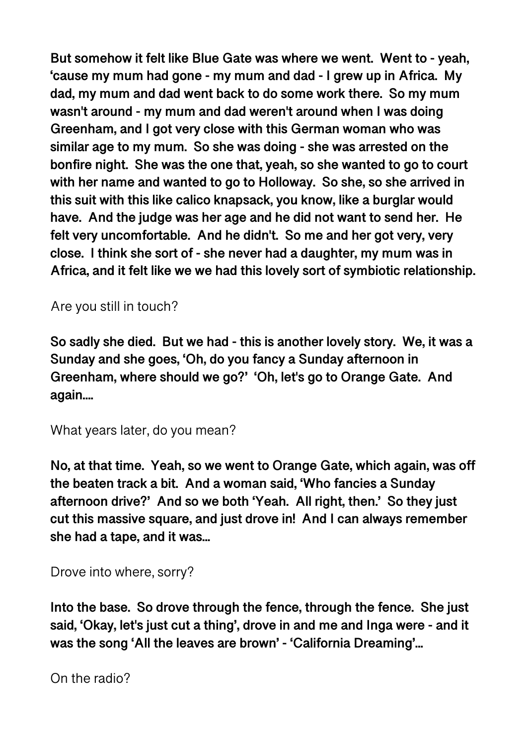**But somehow it felt like Blue Gate was where we went. Went to - yeah, 'cause my mum had gone - my mum and dad - I grew up in Africa. My dad, my mum and dad went back to do some work there. So my mum wasn't around - my mum and dad weren't around when I was doing Greenham, and I got very close with this German woman who was similar age to my mum. So she was doing - she was arrested on the bonfire night. She was the one that, yeah, so she wanted to go to court with her name and wanted to go to Holloway. So she, so she arrived in this suit with this like calico knapsack, you know, like a burglar would have. And the judge was her age and he did not want to send her. He felt very uncomfortable. And he didn't. So me and her got very, very close. I think she sort of - she never had a daughter, my mum was in Africa, and it felt like we we had this lovely sort of symbiotic relationship.** 

### Are you still in touch?

**So sadly she died. But we had - this is another lovely story. We, it was a Sunday and she goes, 'Oh, do you fancy a Sunday afternoon in Greenham, where should we go?' 'Oh, let's go to Orange Gate. And again....** 

### What years later, do you mean?

**No, at that time. Yeah, so we went to Orange Gate, which again, was off the beaten track a bit. And a woman said, 'Who fancies a Sunday afternoon drive?' And so we both 'Yeah. All right, then.' So they just cut this massive square, and just drove in! And I can always remember she had a tape, and it was...** 

### Drove into where, sorry?

**Into the base. So drove through the fence, through the fence. She just said, 'Okay, let's just cut a thing', drove in and me and Inga were - and it was the song 'All the leaves are brown' - 'California Dreaming'...** 

On the radio?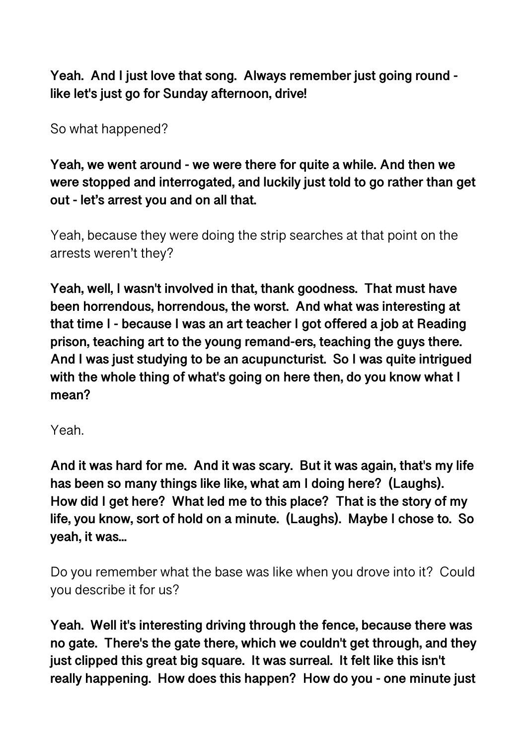**Yeah. And I just love that song. Always remember just going round like let's just go for Sunday afternoon, drive!** 

So what happened?

**Yeah, we went around - we were there for quite a while. And then we were stopped and interrogated, and luckily just told to go rather than get out - let's arrest you and on all that.** 

Yeah, because they were doing the strip searches at that point on the arrests weren't they?

**Yeah, well, I wasn't involved in that, thank goodness. That must have been horrendous, horrendous, the worst. And what was interesting at that time I - because I was an art teacher I got offered a job at Reading prison, teaching art to the young remand-ers, teaching the guys there. And I was just studying to be an acupuncturist. So I was quite intrigued with the whole thing of what's going on here then, do you know what I mean?** 

Yeah.

**And it was hard for me. And it was scary. But it was again, that's my life has been so many things like like, what am I doing here? (Laughs). How did I get here? What led me to this place? That is the story of my life, you know, sort of hold on a minute. (Laughs). Maybe I chose to. So yeah, it was...** 

Do you remember what the base was like when you drove into it? Could you describe it for us?

**Yeah. Well it's interesting driving through the fence, because there was no gate. There's the gate there, which we couldn't get through, and they just clipped this great big square. It was surreal. It felt like this isn't really happening. How does this happen? How do you - one minute just**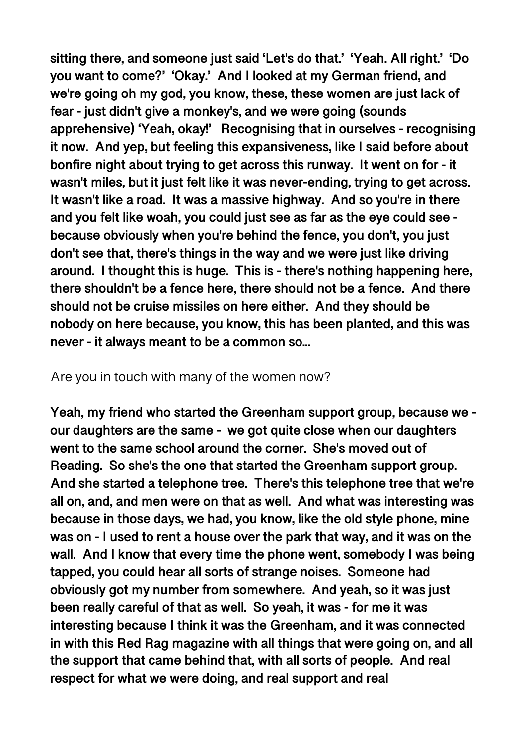**sitting there, and someone just said 'Let's do that.' 'Yeah. All right.' 'Do you want to come?' 'Okay.' And I looked at my German friend, and we're going oh my god, you know, these, these women are just lack of fear - just didn't give a monkey's, and we were going (sounds apprehensive) 'Yeah, okay!' Recognising that in ourselves - recognising it now. And yep, but feeling this expansiveness, like I said before about bonfire night about trying to get across this runway. It went on for - it wasn't miles, but it just felt like it was never-ending, trying to get across. It wasn't like a road. It was a massive highway. And so you're in there and you felt like woah, you could just see as far as the eye could see because obviously when you're behind the fence, you don't, you just don't see that, there's things in the way and we were just like driving around. I thought this is huge. This is - there's nothing happening here, there shouldn't be a fence here, there should not be a fence. And there should not be cruise missiles on here either. And they should be nobody on here because, you know, this has been planted, and this was never - it always meant to be a common so...** 

#### Are you in touch with many of the women now?

**Yeah, my friend who started the Greenham support group, because we our daughters are the same - we got quite close when our daughters went to the same school around the corner. She's moved out of Reading. So she's the one that started the Greenham support group. And she started a telephone tree. There's this telephone tree that we're all on, and, and men were on that as well. And what was interesting was because in those days, we had, you know, like the old style phone, mine was on - I used to rent a house over the park that way, and it was on the wall. And I know that every time the phone went, somebody I was being tapped, you could hear all sorts of strange noises. Someone had obviously got my number from somewhere. And yeah, so it was just been really careful of that as well. So yeah, it was - for me it was interesting because I think it was the Greenham, and it was connected in with this Red Rag magazine with all things that were going on, and all the support that came behind that, with all sorts of people. And real respect for what we were doing, and real support and real**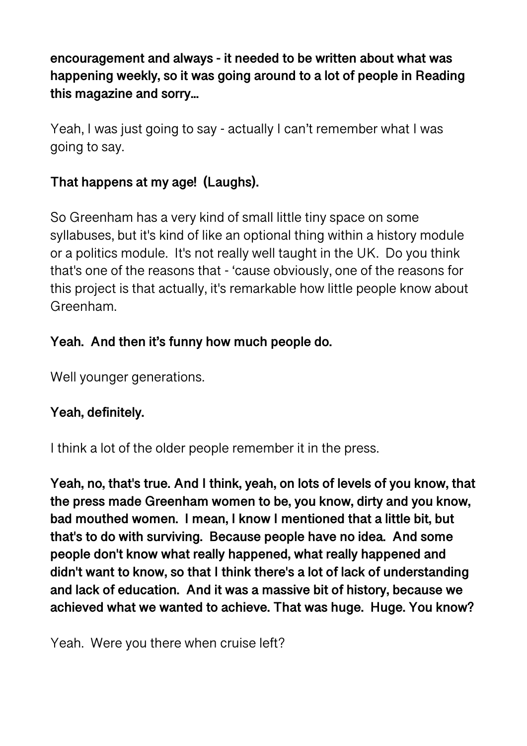**encouragement and always - it needed to be written about what was happening weekly, so it was going around to a lot of people in Reading this magazine and sorry...** 

Yeah, I was just going to say - actually I can't remember what I was going to say.

## **That happens at my age! (Laughs).**

So Greenham has a very kind of small little tiny space on some syllabuses, but it's kind of like an optional thing within a history module or a politics module. It's not really well taught in the UK. Do you think that's one of the reasons that - 'cause obviously, one of the reasons for this project is that actually, it's remarkable how little people know about Greenham.

# **Yeah. And then it's funny how much people do.**

Well younger generations.

### **Yeah, definitely.**

I think a lot of the older people remember it in the press.

**Yeah, no, that's true. And I think, yeah, on lots of levels of you know, that the press made Greenham women to be, you know, dirty and you know, bad mouthed women. I mean, I know I mentioned that a little bit, but that's to do with surviving. Because people have no idea. And some people don't know what really happened, what really happened and didn't want to know, so that I think there's a lot of lack of understanding and lack of education. And it was a massive bit of history, because we achieved what we wanted to achieve. That was huge. Huge. You know?** 

Yeah. Were you there when cruise left?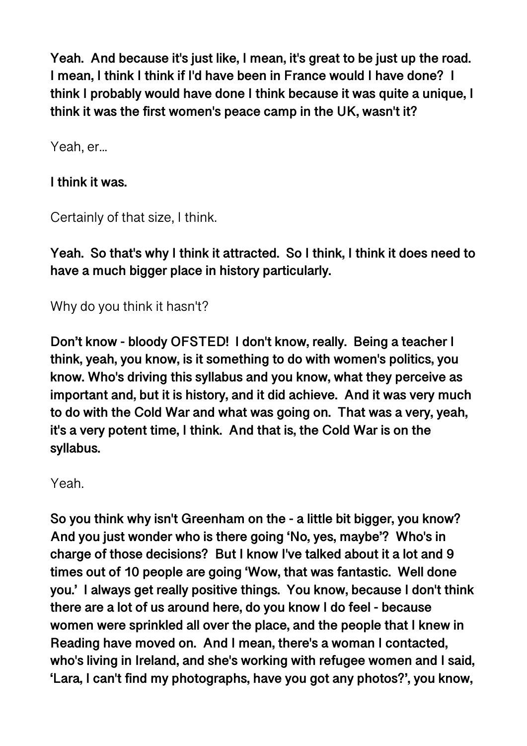**Yeah. And because it's just like, I mean, it's great to be just up the road. I mean, I think I think if I'd have been in France would I have done? I think I probably would have done I think because it was quite a unique, I think it was the first women's peace camp in the UK, wasn't it?** 

Yeah, er...

### **I think it was.**

Certainly of that size, I think.

**Yeah. So that's why I think it attracted. So I think, I think it does need to have a much bigger place in history particularly.** 

Why do you think it hasn't?

**Don't know - bloody OFSTED! I don't know, really. Being a teacher I think, yeah, you know, is it something to do with women's politics, you know. Who's driving this syllabus and you know, what they perceive as important and, but it is history, and it did achieve. And it was very much to do with the Cold War and what was going on. That was a very, yeah, it's a very potent time, I think. And that is, the Cold War is on the syllabus.** 

### Yeah.

**So you think why isn't Greenham on the - a little bit bigger, you know? And you just wonder who is there going 'No, yes, maybe'? Who's in charge of those decisions? But I know I've talked about it a lot and 9 times out of 10 people are going 'Wow, that was fantastic. Well done you.' I always get really positive things. You know, because I don't think there are a lot of us around here, do you know I do feel - because women were sprinkled all over the place, and the people that I knew in Reading have moved on. And I mean, there's a woman I contacted, who's living in Ireland, and she's working with refugee women and I said, 'Lara, I can't find my photographs, have you got any photos?', you know,**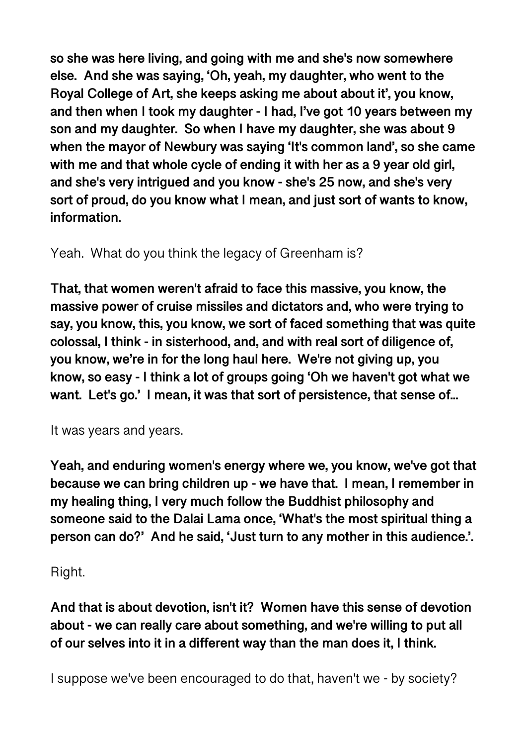**so she was here living, and going with me and she's now somewhere else. And she was saying, 'Oh, yeah, my daughter, who went to the Royal College of Art, she keeps asking me about about it', you know, and then when I took my daughter - I had, I've got 10 years between my son and my daughter. So when I have my daughter, she was about 9 when the mayor of Newbury was saying 'It's common land', so she came with me and that whole cycle of ending it with her as a 9 year old girl, and she's very intrigued and you know - she's 25 now, and she's very sort of proud, do you know what I mean, and just sort of wants to know, information.** 

# Yeah. What do you think the legacy of Greenham is?

**That, that women weren't afraid to face this massive, you know, the massive power of cruise missiles and dictators and, who were trying to say, you know, this, you know, we sort of faced something that was quite colossal, I think - in sisterhood, and, and with real sort of diligence of, you know, we're in for the long haul here. We're not giving up, you know, so easy - I think a lot of groups going 'Oh we haven't got what we want. Let's go.' I mean, it was that sort of persistence, that sense of...** 

It was years and years.

**Yeah, and enduring women's energy where we, you know, we've got that because we can bring children up - we have that. I mean, I remember in my healing thing, I very much follow the Buddhist philosophy and someone said to the Dalai Lama once, 'What's the most spiritual thing a person can do?' And he said, 'Just turn to any mother in this audience.'.** 

### Right.

**And that is about devotion, isn't it? Women have this sense of devotion about - we can really care about something, and we're willing to put all of our selves into it in a different way than the man does it, I think.** 

I suppose we've been encouraged to do that, haven't we - by society?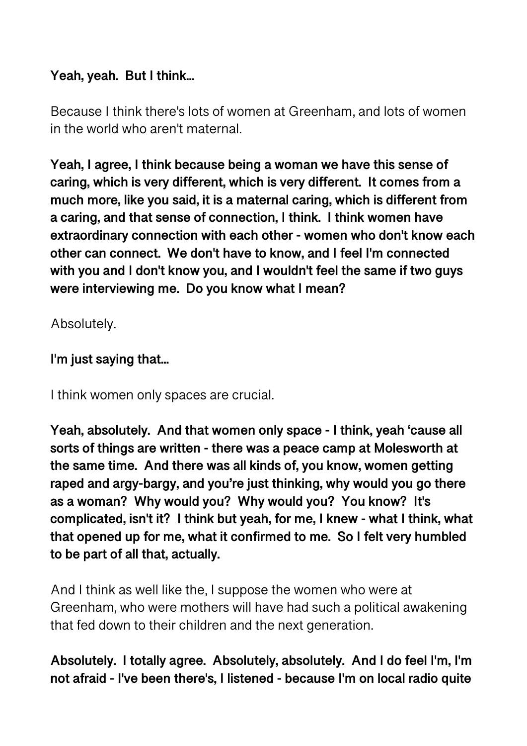### **Yeah, yeah. But I think...**

Because I think there's lots of women at Greenham, and lots of women in the world who aren't maternal.

**Yeah, I agree, I think because being a woman we have this sense of caring, which is very different, which is very different. It comes from a much more, like you said, it is a maternal caring, which is different from a caring, and that sense of connection, I think. I think women have extraordinary connection with each other - women who don't know each other can connect. We don't have to know, and I feel I'm connected with you and I don't know you, and I wouldn't feel the same if two guys were interviewing me. Do you know what I mean?** 

Absolutely.

## **I'm just saying that...**

I think women only spaces are crucial.

**Yeah, absolutely. And that women only space - I think, yeah 'cause all sorts of things are written - there was a peace camp at Molesworth at the same time. And there was all kinds of, you know, women getting raped and argy-bargy, and you're just thinking, why would you go there as a woman? Why would you? Why would you? You know? It's complicated, isn't it? I think but yeah, for me, I knew - what I think, what that opened up for me, what it confirmed to me. So I felt very humbled to be part of all that, actually.** 

And I think as well like the, I suppose the women who were at Greenham, who were mothers will have had such a political awakening that fed down to their children and the next generation.

**Absolutely. I totally agree. Absolutely, absolutely. And I do feel I'm, I'm not afraid - I've been there's, I listened - because I'm on local radio quite**